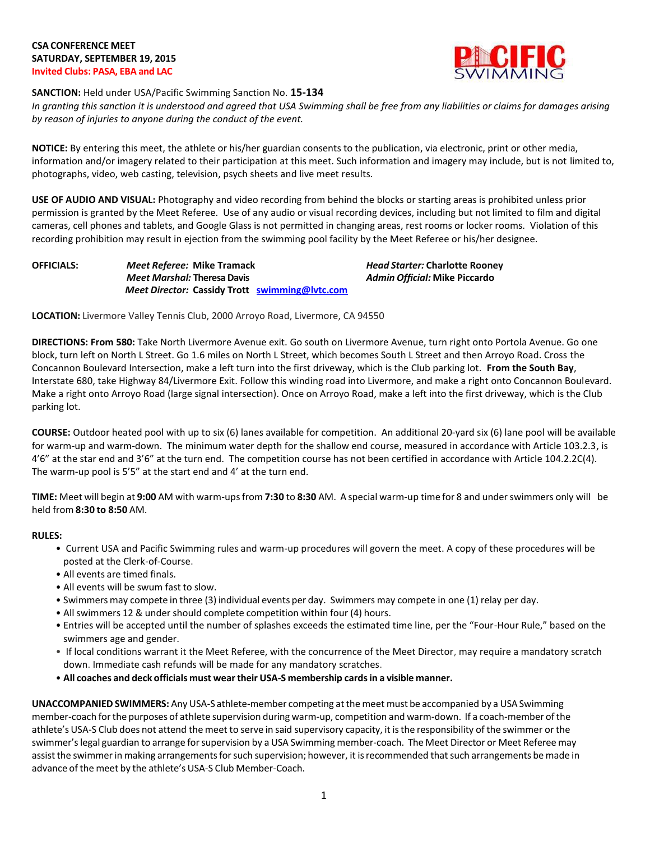

### **SANCTION:** Held under USA/Pacific Swimming Sanction No. **15-134**

*In granting this sanction it is understood and agreed that USA Swimming shall be free from any liabilities or claims for damages arising by reason of injuries to anyone during the conduct of the event.*

**NOTICE:** By entering this meet, the athlete or his/her guardian consents to the publication, via electronic, print or other media, information and/or imagery related to their participation at this meet. Such information and imagery may include, but is not limited to, photographs, video, web casting, television, psych sheets and live meet results.

**USE OF AUDIO AND VISUAL:** Photography and video recording from behind the blocks or starting areas is prohibited unless prior permission is granted by the Meet Referee. Use of any audio or visual recording devices, including but not limited to film and digital cameras, cell phones and tablets, and Google Glass is not permitted in changing areas, rest rooms or locker rooms. Violation of this recording prohibition may result in ejection from the swimming pool facility by the Meet Referee or his/her designee.

*Meet Marshal:* **Theresa Davis** *Admin Official:* **Mike Piccardo**  *Meet Director:* **Cassidy Trott [swimming@lvtc.com](mailto:swimming@lvtc.com)**

**OFFICIALS:** *Meet Referee:* **Mike Tramack** *Head Starter:* **Charlotte Rooney**

**LOCATION:** Livermore Valley Tennis Club, 2000 Arroyo Road, Livermore, CA 94550

**DIRECTIONS: From 580:** Take North Livermore Avenue exit. Go south on Livermore Avenue, turn right onto Portola Avenue. Go one block, turn left on North L Street. Go 1.6 miles on North L Street, which becomes South L Street and then Arroyo Road. Cross the Concannon Boulevard Intersection, make a left turn into the first driveway, which is the Club parking lot. **From the South Bay**, Interstate 680, take Highway 84/Livermore Exit. Follow this winding road into Livermore, and make a right onto Concannon Boulevard. Make a right onto Arroyo Road (large signal intersection). Once on Arroyo Road, make a left into the first driveway, which is the Club parking lot.

**COURSE:** Outdoor heated pool with up to six (6) lanes available for competition. An additional 20-yard six (6) lane pool will be available for warm-up and warm-down. The minimum water depth for the shallow end course, measured in accordance with Article 103.2.3, is 4'6" at the star end and 3'6" at the turn end. The competition course has not been certified in accordance with Article 104.2.2C(4). The warm-up pool is 5'5" at the start end and 4' at the turn end.

**TIME:** Meet will begin at **9:00** AM with warm-upsfrom **7:30** to **8:30** AM. A special warm-up time for 8 and underswimmers only will be held from **8:30 to 8:50** AM.

# **RULES:**

- Current USA and Pacific Swimming rules and warm-up procedures will govern the meet. A copy of these procedures will be posted at the Clerk-of-Course.
- All events are timed finals.
- All events will be swum fast to slow.
- Swimmers may compete in three (3) individual events per day. Swimmers may compete in one (1) relay per day.
- All swimmers 12 & under should complete competition within four (4) hours.
- Entries will be accepted until the number of splashes exceeds the estimated time line, per the "Four-Hour Rule," based on the swimmers age and gender.
- If local conditions warrant it the Meet Referee, with the concurrence of the Meet Director, may require a mandatory scratch down. Immediate cash refunds will be made for any mandatory scratches.
- **All coaches and deck officials must weartheir USA-S membership cardsin a visible manner.**

**UNACCOMPANIEDSWIMMERS:** Any USA-S athlete-member competing atthe meet must be accompanied by a USASwimming member-coach forthe purposes of athlete supervision during warm-up, competition and warm-down. If a coach-member ofthe athlete's USA-S Club does not attend the meet to serve in said supervisory capacity, it isthe responsibility of the swimmer or the swimmer'slegal guardian to arrange forsupervision by a USA Swimming member-coach. The Meet Director or Meet Referee may assist the swimmer in making arrangements for such supervision; however, it is recommended that such arrangements be made in advance of the meet by the athlete's USA-S Club Member-Coach.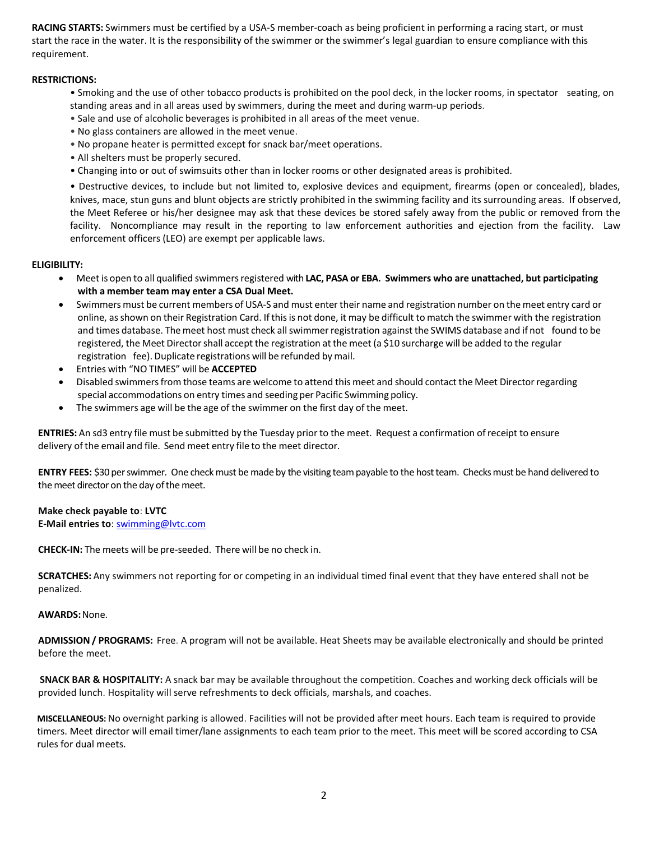**RACING STARTS:** Swimmers must be certified by a USA-S member-coach as being proficient in performing a racing start, or must start the race in the water. It is the responsibility of the swimmer or the swimmer's legal guardian to ensure compliance with this requirement.

## **RESTRICTIONS:**

- Smoking and the use of other tobacco products is prohibited on the pool deck, in the locker rooms, in spectator seating, on standing areas and in all areas used by swimmers, during the meet and during warm-up periods.
- Sale and use of alcoholic beverages is prohibited in all areas of the meet venue.
- No glass containers are allowed in the meet venue.
- No propane heater is permitted except for snack bar/meet operations.
- All shelters must be properly secured.
- Changing into or out of swimsuits other than in locker rooms or other designated areas is prohibited.

• Destructive devices, to include but not limited to, explosive devices and equipment, firearms (open or concealed), blades, knives, mace, stun guns and blunt objects are strictly prohibited in the swimming facility and its surrounding areas. If observed, the Meet Referee or his/her designee may ask that these devices be stored safely away from the public or removed from the facility. Noncompliance may result in the reporting to law enforcement authorities and ejection from the facility. Law enforcement officers (LEO) are exempt per applicable laws.

#### **ELIGIBILITY:**

- Meet is open to all qualified swimmersregistered with **LAC, PASA or EBA. Swimmers who are unattached, but participating with a member team may enter a CSA Dual Meet.**
- Swimmers must be current members of USA-S and must enter their name and registration number on the meet entry card or online, asshown on their Registration Card. If thisis not done, it may be difficult to match the swimmer with the registration and times database. Themeet host must check allswimmerregistration against the SWIMS database and if not found to be registered, the Meet Directorshall accept the registration at the meet (a \$10 surcharge will be added to the regular registration fee). Duplicate registrations will be refunded by mail.
- Entries with "NO TIMES" will be **ACCEPTED**
- Disabled swimmersfrom those teams are welcome to attend this meet and should contact the Meet Directorregarding special accommodations on entry times and seeding per Pacific Swimming policy.
- The swimmers age will be the age of the swimmer on the first day of the meet.

**ENTRIES:** An sd3 entry file must be submitted by the Tuesday prior to the meet. Request a confirmation ofreceipt to ensure delivery of the email and file. Send meet entry file to the meet director.

**ENTRY FEES:** \$30 per swimmer. One check must be made by the visiting team payable to the host team. Checks must be hand delivered to the meet director on the day of the meet.

#### **Make check payable to**: **LVTC**

**E-Mail entries to**: [swimming@lvtc.com](mailto:swimming@lvtc.com)

**CHECK-IN:** The meets will be pre-seeded. There will be no check in.

**SCRATCHES:** Any swimmers not reporting for or competing in an individual timed final event that they have entered shall not be penalized.

#### **AWARDS:**None.

**ADMISSION/ PROGRAMS:** Free. A program will not be available. Heat Sheets may be available electronically and should be printed before the meet.

**SNACK BAR & HOSPITALITY:** A snack bar may be available throughout the competition. Coaches and working deck officials will be provided lunch. Hospitality will serve refreshments to deck officials, marshals, and coaches.

**MISCELLANEOUS:** No overnight parking is allowed. Facilities will not be provided after meet hours. Each team is required to provide timers. Meet director will email timer/lane assignments to each team prior to the meet. This meet will be scored according to CSA rules for dual meets.